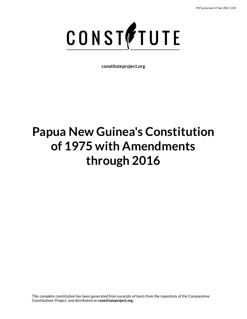

# **Papua New Guinea's Constitution of 1975 with Amendments through 2016**

This complete constitution has been generated from excerpts of texts from the repository of the Comparative Constitutions Project, and distributed on **constituteproject.org**.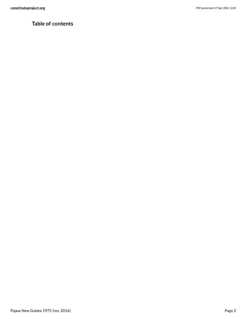# **Table of contents**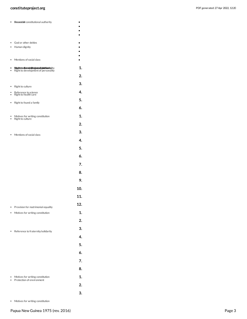| constituteproject.org | PDF generated: 27 Apr 2022, 12:20 |
|-----------------------|-----------------------------------|
|                       |                                   |

<span id="page-2-6"></span><span id="page-2-4"></span><span id="page-2-3"></span><span id="page-2-2"></span><span id="page-2-1"></span><span id="page-2-0"></span>

| ٠      | Bouncable constitutional authority                                                                                          |     |
|--------|-----------------------------------------------------------------------------------------------------------------------------|-----|
|        |                                                                                                                             |     |
| ٠<br>٠ | God or other deities<br>Human dignity                                                                                       |     |
|        |                                                                                                                             |     |
| ٠      | Mentions of social class                                                                                                    |     |
| ۰<br>٠ | Bólgutric tersodforrowks tittion tej on to an list a triatal triangle in type of the<br>Right to development of personality | 1.  |
|        |                                                                                                                             | 2.  |
| ٠      | Right to culture                                                                                                            | 3.  |
|        | Reference to science<br>Right to health care                                                                                | 4.  |
| ٠      | Right to found a family                                                                                                     | 5.  |
|        |                                                                                                                             | 6.  |
| ٠      | Motives for writing constitution                                                                                            | 1.  |
|        | Right to culture                                                                                                            | 2.  |
|        | Mentions of social class                                                                                                    | 3.  |
|        |                                                                                                                             | 4.  |
|        |                                                                                                                             | 5.  |
|        |                                                                                                                             | 6.  |
|        |                                                                                                                             | 7.  |
|        |                                                                                                                             | 8.  |
|        |                                                                                                                             | 9.  |
|        |                                                                                                                             | 10. |
|        |                                                                                                                             | 11. |
| ٠      | Provision for matrimonial equality                                                                                          | 12. |
| ۰      | Motives for writing constitution                                                                                            | 1.  |
|        |                                                                                                                             | 2.  |
|        | Reference to fraternity/solidarity                                                                                          | 3.  |
|        |                                                                                                                             | 4.  |
|        |                                                                                                                             | 5.  |
|        |                                                                                                                             | 6.  |
|        |                                                                                                                             | 7.  |
|        |                                                                                                                             | 8.  |
|        | Motives for writing constitution<br>Protection of environment                                                               | 1.  |
|        |                                                                                                                             | 2.  |
|        |                                                                                                                             | 3.  |

<span id="page-2-7"></span><span id="page-2-5"></span>Motives for writing constitution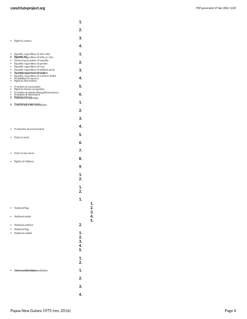| PDF generated: 27 Apr 2022, 12:20 |  |  |
|-----------------------------------|--|--|
|-----------------------------------|--|--|

<span id="page-3-5"></span><span id="page-3-4"></span><span id="page-3-3"></span><span id="page-3-2"></span><span id="page-3-1"></span><span id="page-3-0"></span>

|                     |                                                                                                                   | 1.                   |          |
|---------------------|-------------------------------------------------------------------------------------------------------------------|----------------------|----------|
|                     |                                                                                                                   | 2.                   |          |
|                     | Right to culture                                                                                                  | 3.                   |          |
|                     |                                                                                                                   | 4.                   |          |
| ٠<br>8              | Equality regardless of skin color<br><b>Rightlity lifegardless of tribe or clan</b>                               | 1.                   |          |
| $\bullet$<br>٠      | General guarantee of equality<br>Equality regardless of gender                                                    | 2.                   |          |
| ۰<br>٠<br>$\bullet$ | Equality regardless of race<br>Equality regardless of political party<br>Pqobiltiytio ega frollers to feating ent | 3.                   |          |
| ۰<br>٠<br>$\bullet$ | Equality regardless of creed or belief<br>Prohibition of slavery<br>Right to information                          | 4.                   |          |
| ٠<br>$\bullet$      | Freedom of association<br>Right to choose occupation                                                              | 5.                   |          |
| ٠<br>ះ              | Freedom of opinion/thought/conscience<br>Freedom of movement<br>Pight to privacy embly                            | 6.                   |          |
| 8                   | <b>D</b> GGGGGBGEG YRE ESSIGNItution                                                                              | 1.                   |          |
|                     |                                                                                                                   | 2.                   |          |
|                     |                                                                                                                   | 3.                   |          |
|                     | Protection of environment                                                                                         | 4.                   |          |
|                     | Duty to work                                                                                                      | 5.                   |          |
|                     |                                                                                                                   | 6.                   |          |
|                     | Duty to pay taxes                                                                                                 | 7.                   |          |
|                     | Rights of children                                                                                                | 8.                   |          |
|                     |                                                                                                                   | 9.                   |          |
|                     |                                                                                                                   | 1.<br>2.             |          |
|                     |                                                                                                                   | 1.<br>2.             |          |
|                     |                                                                                                                   | 1.                   |          |
|                     | National flag                                                                                                     |                      | 1.<br>2. |
|                     | National motto                                                                                                    |                      | 3.<br>4. |
|                     | National anthem                                                                                                   | 2.                   | 5.       |
|                     | National flag<br>National capital                                                                                 | 1.                   |          |
|                     |                                                                                                                   | 2.<br>3.<br>4.<br>5. |          |
|                     |                                                                                                                   | 1.<br>2.             |          |
|                     | Gothortotheideleiyiesnstitution                                                                                   | 1.                   |          |
|                     |                                                                                                                   | 2.                   |          |
|                     |                                                                                                                   | 3.                   |          |
|                     |                                                                                                                   | 4.                   |          |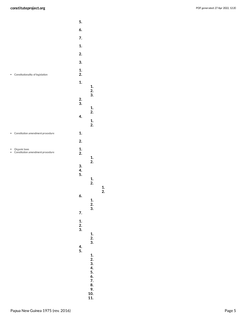<span id="page-4-2"></span><span id="page-4-1"></span><span id="page-4-0"></span>

|   |                                                  | 5.                    |                          |
|---|--------------------------------------------------|-----------------------|--------------------------|
|   |                                                  | 6.                    |                          |
|   |                                                  | 7.                    |                          |
|   |                                                  | 1.                    |                          |
|   |                                                  | 2.                    |                          |
|   |                                                  | 3.                    |                          |
| ٠ | Constitutionality of legislation                 | 1.<br>2.              |                          |
|   |                                                  | 1.                    | 1.                       |
|   |                                                  |                       | 2.                       |
|   |                                                  | $\frac{2}{3}$ .       | 3.                       |
|   |                                                  |                       | 1.                       |
|   |                                                  | 4.                    | 2.                       |
|   |                                                  |                       | 1.<br>2.                 |
| ٠ | Constitution amendment procedure                 | 1.                    |                          |
|   |                                                  | 2.                    |                          |
|   | Organic laws<br>Constitution amendment procedure | 1.<br>2.              |                          |
|   |                                                  |                       | 1.                       |
|   |                                                  | 3.                    | $\overline{2}$ .         |
|   |                                                  | 4.<br>5.              |                          |
|   |                                                  |                       | 1.<br>2.                 |
|   |                                                  | 6.                    |                          |
|   |                                                  |                       | $\frac{1}{2}$ .<br>3.    |
|   |                                                  | 7.                    |                          |
|   |                                                  |                       |                          |
|   |                                                  | $\frac{1}{2}$ .<br>3. |                          |
|   |                                                  |                       | $\frac{1}{2}$ .<br>3.    |
|   |                                                  | 4.<br>5.              |                          |
|   |                                                  |                       |                          |
|   |                                                  |                       |                          |
|   |                                                  |                       |                          |
|   |                                                  |                       |                          |
|   |                                                  |                       |                          |
|   |                                                  |                       | 1.2.3.4.5.6.7.8.9.10.11. |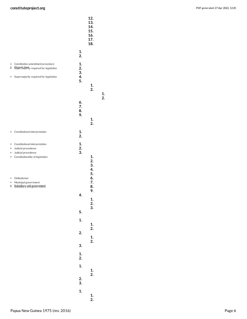<span id="page-5-2"></span><span id="page-5-1"></span><span id="page-5-0"></span>

|                            |                                                                                                                       | 12.<br>13.<br>14.<br>15.<br>16.<br>17.<br>18. |                            |
|----------------------------|-----------------------------------------------------------------------------------------------------------------------|-----------------------------------------------|----------------------------|
|                            |                                                                                                                       | 1.<br>2.                                      |                            |
| ٠<br>$\ddot{\bullet}$<br>٠ | Constitution amendment procedure<br>Superinatority required for legislation<br>Supermajority required for legislation | 1.<br>2.<br>3.<br>4.<br>5.                    | 1.<br>2.                   |
|                            |                                                                                                                       | 6.<br>7.<br>8.<br>9.                          | 1.<br>2.                   |
| ٠                          | Constitutional interpretation                                                                                         | 1.<br>2.                                      |                            |
| ٠<br>٠<br>٠<br>$\bullet$   | Constitutional interpretation<br>Judicial precedence<br>Judicial precedence<br>Constitutionality of legislation       | 1.<br>2.<br>3.                                | 1.<br>2.<br>3.<br>4.<br>5. |
| ٠<br>٠<br>÷                | Ombudsman<br>Municipal government<br>Subsidiary unit government                                                       | 4.                                            | 6.<br>7.<br>8.<br>9.       |
|                            |                                                                                                                       |                                               | $\frac{1}{2}$ .<br>3.      |
|                            |                                                                                                                       | 5.<br>1.                                      |                            |
|                            |                                                                                                                       | 2.                                            | $\frac{1}{2}$ .            |
|                            |                                                                                                                       | 3.                                            | $\frac{1}{2}$ .            |
|                            |                                                                                                                       | $\frac{1}{2}$ .                               |                            |
|                            |                                                                                                                       | 1.                                            | $\frac{1}{2}$ .            |
|                            |                                                                                                                       | $\frac{2}{3}$ .                               |                            |
|                            |                                                                                                                       | 1.                                            | 1.<br>2.                   |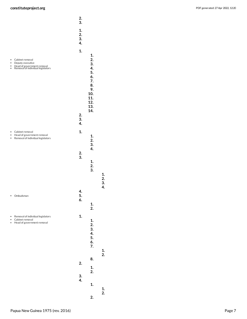<span id="page-6-1"></span><span id="page-6-0"></span>

|        |                                                                                                        | 2.<br>3.                    |                                                                                |                       |
|--------|--------------------------------------------------------------------------------------------------------|-----------------------------|--------------------------------------------------------------------------------|-----------------------|
|        |                                                                                                        | 1.<br>$\frac{2}{3}$ .<br>4. |                                                                                |                       |
| ٠<br>٠ | Cabinet removal<br>Deputy executive<br>Head of government removal<br>Removal of individual legislators | 1.                          | 1.<br>2.<br>3.<br>4.<br>5.<br>6.<br>7.<br>8.<br>9.<br>10.<br>11.<br>12.<br>13. |                       |
|        |                                                                                                        | 2.<br>3.<br>4.              | 14.                                                                            |                       |
|        | Cabinet removal<br>Head of government removal<br>Removal of individual legislators                     | 1.                          | 1.<br>2.<br>3.                                                                 |                       |
|        |                                                                                                        | $\frac{2}{3}$ .             | 4.<br>1.<br>2.<br>3.                                                           | 1.                    |
| ٠      | Ombudsman                                                                                              | 4.<br>5.<br>6.              | 1.<br>2.                                                                       | $\frac{2}{3}$ .<br>4. |
|        | Removal of individual legislators<br>Cabinet removal<br>Head of government removal                     | 1.                          | 1.<br>2.<br>3.<br>4.<br>5.<br>6.<br>7.                                         |                       |
|        |                                                                                                        | 2.                          | 8.<br>1.                                                                       | $\frac{1}{2}$ .       |
|        |                                                                                                        | 3.<br>4.                    | 2.<br>1.                                                                       |                       |
|        |                                                                                                        |                             | 2.                                                                             | $\frac{1}{2}$ .       |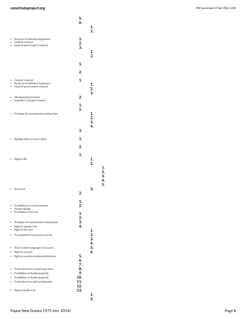<span id="page-7-3"></span><span id="page-7-1"></span>

|                |                                                                                                | 5.<br>6.       | 1.<br>$\overline{2}$ . |
|----------------|------------------------------------------------------------------------------------------------|----------------|------------------------|
| ٠<br>٠         | Removal of individual legislators<br>Cabinet removal<br>Head of government removal             | 1.<br>2.<br>3. | 1.<br>$\overline{2}$ . |
|                |                                                                                                | 1.             |                        |
|                |                                                                                                | 2.             |                        |
|                | Cabinet removal<br>Removal of individual legislators<br>Head of government removal             | 1.             | 1.<br>2.<br>3.         |
|                | Municipal government<br>Subsidiary unit government                                             | 2.             |                        |
|                | Principle of no punishment without law                                                         | 1.<br>2.       | 1.<br>2.               |
|                |                                                                                                | 3.             | 3.<br>4.               |
|                | Binding effect of const rights                                                                 | 1.             |                        |
|                |                                                                                                | 2.             |                        |
|                | Right to life                                                                                  | 1.             | 1.<br>$\overline{2}$   |
|                | Terrorism                                                                                      | 2.             | 3.                     |
| $\bullet$<br>٠ | Prohibition of cruel treatment<br>Human dignity                                                | 1.<br>2.       |                        |
| ٠              | Prohibition of torture                                                                         | 1.<br>2.       |                        |
| ٠<br>٠<br>٠    | Principle of no punishment without law<br>Right to speedy trial<br>Right to fair trial         | 3.<br>4.       | 1.                     |
| ٠              | Presumption of innocence in trials                                                             |                | 2.<br>3.               |
| ٠<br>٠         | Trial in native language of accused<br>Right to counsel<br>Right to examine evidence/witnesses | 5.<br>6.<br>7. | 4.<br>5.<br>6.         |
| ٠<br>۰         | Protection from ex post facto laws<br>Prohibition of double jeopardy                           | 8.<br>9.       |                        |
| ٠<br>$\bullet$ | Prohibition of double jeopardy<br>Protection from self-incrimination                           | 10.<br>11.     |                        |
|                | Right to public trial                                                                          | 12.<br>13.     | 1.<br>$\overline{2}$ . |

<span id="page-7-6"></span><span id="page-7-5"></span><span id="page-7-4"></span><span id="page-7-2"></span><span id="page-7-0"></span>**1 . 2 . 3 . 4 . 5 .**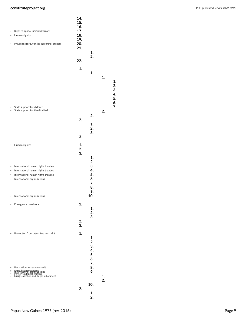<span id="page-8-3"></span><span id="page-8-2"></span><span id="page-8-1"></span><span id="page-8-0"></span>

| ۰ | Right to appeal judicial decisions<br>Human dignity<br>Privileges for juveniles in criminal process                                   | 14.<br>15.<br>16.<br>17.<br>18.<br>19.<br>20.<br>21. | 1.                         |                  |                      |
|---|---------------------------------------------------------------------------------------------------------------------------------------|------------------------------------------------------|----------------------------|------------------|----------------------|
|   |                                                                                                                                       | 22.                                                  | 2.                         |                  |                      |
|   |                                                                                                                                       | 1.                                                   |                            |                  |                      |
|   |                                                                                                                                       |                                                      | 1.                         | 1.               | 1.<br>2.<br>3.       |
|   | State support for children                                                                                                            |                                                      |                            |                  | 4.<br>5.<br>6.<br>7. |
|   | State support for the disabled                                                                                                        |                                                      | 2.                         | 2.               |                      |
|   |                                                                                                                                       | 2.                                                   | 1.<br>2.<br>3.             |                  |                      |
|   |                                                                                                                                       | 3.                                                   |                            |                  |                      |
| ٠ | Human dignity                                                                                                                         | 1.<br>2.<br>3.                                       |                            |                  |                      |
|   |                                                                                                                                       |                                                      | 1.<br>2.                   |                  |                      |
| ٠ | International human rights treaties<br>International human rights treaties                                                            |                                                      | 3.<br>4.                   |                  |                      |
| ٠ | International human rights treaties<br>International organizations                                                                    |                                                      | 5.<br>6.<br>7.<br>8.       |                  |                      |
| ٠ | International organizations                                                                                                           |                                                      | 9.<br>10.                  |                  |                      |
|   | Emergency provisions                                                                                                                  | 1.                                                   | 1.<br>2.                   |                  |                      |
|   |                                                                                                                                       | 2.<br>3.                                             | 3.                         |                  |                      |
|   | Protection from unjustified restraint                                                                                                 | 1.                                                   | 1.<br>2.<br>3.<br>4.<br>5. |                  |                      |
| ٠ | Restrictions on entry or exit<br>Fxtradition or orgal was lions<br>Power to deport citizens<br>Drugs, alcohol, and illegal substances |                                                      | 6.<br>7.<br>8.<br>9.       | 1.               |                      |
|   |                                                                                                                                       |                                                      | 10.                        | $\overline{2}$ . |                      |
|   |                                                                                                                                       | 2.                                                   | 1.                         |                  |                      |
|   |                                                                                                                                       |                                                      | 2.                         |                  |                      |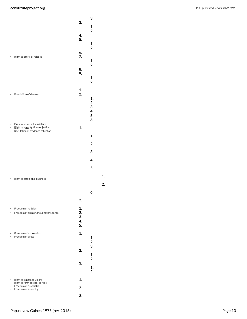<span id="page-9-4"></span><span id="page-9-3"></span><span id="page-9-2"></span><span id="page-9-1"></span><span id="page-9-0"></span>

|        |                                                                     |          | 3.       |    |
|--------|---------------------------------------------------------------------|----------|----------|----|
|        |                                                                     | 3.       | 1.       |    |
|        |                                                                     | 4.       | 2.       |    |
|        |                                                                     | 5.       | 1.       |    |
|        |                                                                     | 6.       | 2.       |    |
|        | Right to pre-trial release                                          | 7.       |          |    |
|        |                                                                     |          | 1.<br>2. |    |
|        |                                                                     | 8.<br>9. |          |    |
|        |                                                                     |          | 1.<br>2. |    |
|        |                                                                     | 1.       |          |    |
|        | Prohibition of slavery                                              | 2.       |          |    |
|        |                                                                     |          | 1.<br>2. |    |
|        |                                                                     |          | 3.<br>4. |    |
|        |                                                                     |          | 5.<br>6. |    |
| ٠<br>8 | Duty to serve in the military<br>Right to privation tious objection | 1.       |          |    |
|        | Regulation of evidence collection                                   |          |          |    |
|        |                                                                     |          | 1.       |    |
|        |                                                                     |          | 2.       |    |
|        |                                                                     |          | 3.       |    |
|        |                                                                     |          | 4.       |    |
|        |                                                                     |          | 5.       |    |
|        | Right to establish a business                                       |          |          | 1. |
|        |                                                                     |          |          | 2. |
|        |                                                                     |          | 6.       |    |
|        |                                                                     | 2.       |          |    |
|        | Freedom of religion                                                 | 1.       |          |    |
|        | Freedom of opinion/thought/conscience                               | 2.<br>3. |          |    |
|        |                                                                     | 4.<br>5. |          |    |
|        | Freedom of expression                                               | 1.       |          |    |
|        | Freedom of press                                                    |          | 1.<br>2. |    |
|        |                                                                     |          | 3.       |    |
|        |                                                                     | 2.       | 1.       |    |
|        |                                                                     | 3.       | 2.       |    |
|        |                                                                     |          | 1.<br>2. |    |
|        | Right to join trade unions                                          | 1.       |          |    |
|        | Right to form political parties<br>Freedom of association           | 2.       |          |    |
|        | Freedom of assembly                                                 |          |          |    |
|        |                                                                     | 3.       |          |    |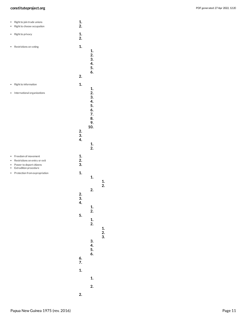<span id="page-10-5"></span><span id="page-10-4"></span><span id="page-10-3"></span><span id="page-10-1"></span>

| ٠<br>$\bullet$                           | Right to join trade unions<br>Right to choose occupation                                                  | 1.<br>2.                                            |                                                    |
|------------------------------------------|-----------------------------------------------------------------------------------------------------------|-----------------------------------------------------|----------------------------------------------------|
| ٠                                        | Right to privacy                                                                                          | 1.<br>2.                                            |                                                    |
| ۰                                        | Restrictions on voting                                                                                    | 1.<br>2.                                            | 1.<br>2.<br>3.<br>4.<br>5.<br>6.                   |
| ٠                                        | Right to information                                                                                      | 1.                                                  |                                                    |
| $\bullet$                                | International organizations                                                                               |                                                     | 1.<br>2.<br>3.<br>4.<br>5.<br>6.<br>7.<br>8.<br>9. |
|                                          |                                                                                                           | 2.<br>3.<br>4.                                      | 10.<br>1.<br>2.                                    |
| $\bullet$<br>$\bullet$<br>$\bullet$<br>٠ | Freedom of movement<br>Restrictions on entry or exit<br>Power to deport citizens<br>Extradition procedure | 1.<br>2.<br>3.                                      |                                                    |
| ٠                                        | Protection from expropriation                                                                             | 1.                                                  | 1.                                                 |
|                                          |                                                                                                           | 2.<br>$\begin{array}{c} 3. \\ 4. \end{array}$<br>5. | 2.<br>1.<br>2.<br>1.<br>2.                         |
|                                          |                                                                                                           | 6.<br>7.<br>1.                                      | 3.<br>4.<br>$\frac{5}{6}$ .<br>1.<br>2.            |

```
2
.
```
<span id="page-10-2"></span><span id="page-10-0"></span>**1 . 2 .**

**1 . 2 . 3 .**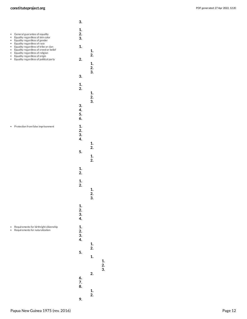

<span id="page-11-1"></span><span id="page-11-0"></span>

<span id="page-11-2"></span> **. . .**

Papua New Guinea 1975 (rev. 2016)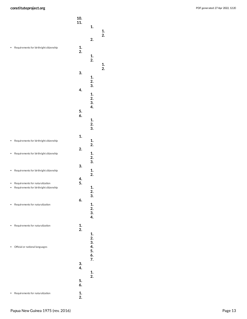<span id="page-12-2"></span><span id="page-12-1"></span><span id="page-12-0"></span>

|        |                                                                            | 10.<br>11. | 1.                               |          |
|--------|----------------------------------------------------------------------------|------------|----------------------------------|----------|
|        |                                                                            |            | 2.                               | 1.<br>2. |
|        | Requirements for birthright citizenship                                    | 1.<br>2.   | 1.<br>2.                         | 1.       |
|        |                                                                            | 3.         | 1.                               | 2.       |
|        |                                                                            | 4.         | 2.<br>3.<br>1.                   |          |
|        |                                                                            | 5.<br>6.   | 2.<br>3.<br>4.<br>1.             |          |
|        |                                                                            | 1.         | 2.<br>3.                         |          |
|        | Requirements for birthright citizenship                                    | 2.         | 1.<br>2.                         |          |
| ٠      | Requirements for birthright citizenship                                    |            | 1.<br>2.<br>3.                   |          |
|        | Requirements for birthright citizenship                                    | 3.         | 1.<br>2.                         |          |
| ٠<br>٠ | Requirements for naturalization<br>Requirements for birthright citizenship | 4.<br>5.   | 1.<br>2.<br>3.                   |          |
|        | Requirements for naturalization                                            | 6.         | 1.<br>2.<br>3.<br>4.             |          |
|        | Requirements for naturalization                                            | 1.<br>2.   | 1.                               |          |
|        | Official or national languages                                             |            | 2.<br>3.<br>4.<br>5.<br>6.<br>7. |          |
|        |                                                                            | 3.<br>4.   | 1.                               |          |
|        |                                                                            | 5.<br>6.   | 2.                               |          |
|        | Requirements for naturalization                                            | 1.<br>2.   |                                  |          |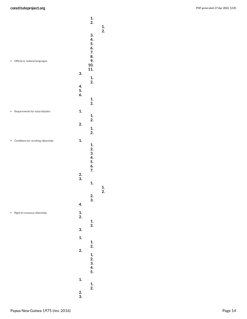<span id="page-13-2"></span><span id="page-13-1"></span><span id="page-13-0"></span>

|   |                                     |                       | 1.<br>2.                                             | 1.              |
|---|-------------------------------------|-----------------------|------------------------------------------------------|-----------------|
| ۰ | Official or national languages      | 3.                    | 3.<br>4.<br>5.<br>6.<br>7.<br>8.<br>9.<br>10.<br>11. | 2.              |
|   |                                     | 4.<br>5.<br>6.        | 1.<br>2.                                             |                 |
|   |                                     |                       | 1.<br>2.                                             |                 |
| ٠ | Requirements for naturalization     | 1.                    | 1.                                                   |                 |
|   |                                     | 2.                    | 2.<br>$\frac{1}{2}$ .                                |                 |
|   | Conditions for revoking citizenship | 1.                    | 1.<br>2.<br>3.<br>4.<br>5.<br>6.<br>7.               |                 |
|   |                                     | $\frac{2}{3}$ .       | 1.                                                   |                 |
|   |                                     | 4.                    | 2.<br>3.                                             | $\frac{1}{2}$ . |
| ۰ | Right to renounce citizenship       | $\frac{1}{2}$ .<br>3. | 1.<br>2.                                             |                 |
|   |                                     | 1.                    |                                                      |                 |
|   |                                     | 2.                    | $\frac{1}{2}$ .<br>1.<br>$\frac{2}{3}$ .<br>4.<br>5. |                 |
|   |                                     | 1.<br>$\frac{2}{3}$ . | 1.<br>2.                                             |                 |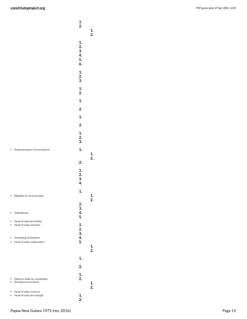<span id="page-14-4"></span><span id="page-14-3"></span><span id="page-14-2"></span><span id="page-14-1"></span><span id="page-14-0"></span>

|        |                                                        | 1.<br>2.                         | $\frac{1}{2}$ . |
|--------|--------------------------------------------------------|----------------------------------|-----------------|
|        |                                                        | 1.<br>2.<br>3.<br>4.<br>5.<br>6. |                 |
|        |                                                        | 1.<br>2.<br>3.                   |                 |
|        |                                                        | 1.<br>2.                         |                 |
|        |                                                        | 1.                               |                 |
|        |                                                        | 2.                               |                 |
|        |                                                        | 1.                               |                 |
|        |                                                        | 2.                               |                 |
|        |                                                        | 1.<br>2.<br>3.                   |                 |
|        | Name/structure of executive(s)                         | 1.                               |                 |
|        |                                                        | 2.                               | $\frac{1}{2}$ . |
|        |                                                        | 1.<br>2.<br>3.<br>4.             |                 |
|        | Eligibility for head of state                          | 1.                               | 1.              |
| ٠      | Ombudsman                                              | 2.<br>3.<br>4.<br>5.             | 2.              |
| ٠<br>٠ | Head of state term limits<br>Head of state selection   | 1.                               |                 |
| ٠      | Scheduling of elections<br>Head of state replacement   | 2.<br>3.<br>4.<br>5.             | 1.<br>2.        |
|        |                                                        | 1.                               |                 |
|        |                                                        | 2.                               |                 |
|        |                                                        | 1.                               |                 |
| ۰<br>٠ | Oaths to abide by constitution<br>Emergency provisions | 2.                               | 1.<br>2.        |
| ٠      | Head of state removal<br>Head of state term length     | 1.<br>2.                         |                 |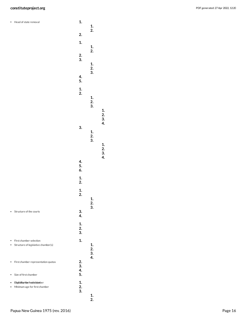<span id="page-15-3"></span><span id="page-15-2"></span>Head of state removal

<span id="page-15-1"></span><span id="page-15-0"></span>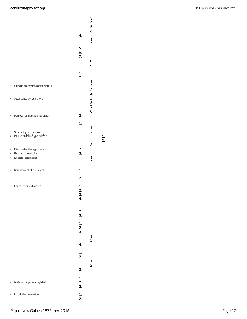<span id="page-16-5"></span><span id="page-16-4"></span><span id="page-16-3"></span><span id="page-16-2"></span><span id="page-16-1"></span><span id="page-16-0"></span>

|        |                                                                  | 4.                   | 3.<br>4.<br>5.<br>6. |    |
|--------|------------------------------------------------------------------|----------------------|----------------------|----|
|        |                                                                  | 5.                   | 1.<br>2.             |    |
|        |                                                                  | 6.<br>7.             | ۰                    |    |
|        |                                                                  |                      |                      |    |
|        |                                                                  | 1.<br>2.             | 1.                   |    |
| ٠      | Outside professions of legislators                               |                      | 2.<br>3.<br>4.       |    |
| ٠      | Attendance by legislators                                        |                      | 5.<br>6.<br>7.       |    |
| ٠      | Removal of individual legislators                                | 3.                   | 8.                   |    |
|        |                                                                  | 1.                   | 1.                   |    |
| ۰<br>÷ | Scheduling of elections<br><b>FISHILS: 28 FASE first chamber</b> |                      | 2.                   | 1. |
|        |                                                                  |                      | 3.                   | 2. |
| ۰<br>٠ | Dismissal of the legislature<br>Electoral commission             | 2.<br>3.             |                      |    |
| ۰      | Electoral commission                                             |                      | 1.                   |    |
|        |                                                                  |                      | 2.                   |    |
| ٠      | Replacement of legislators                                       | 1.                   |                      |    |
|        |                                                                  | 2.                   |                      |    |
|        | Leader of first chamber                                          | 1.<br>2.<br>3.<br>4. |                      |    |
|        |                                                                  | 1.<br>2.<br>3.       |                      |    |
|        |                                                                  | 1.<br>2.<br>3.       | 1.                   |    |
|        |                                                                  | 4.                   | 2.                   |    |
|        |                                                                  | 1.<br>2.             | 1.                   |    |
|        |                                                                  | 3.                   | 2.                   |    |
| ٠      | Initiation of general legislation                                | 1.<br>2.<br>3.       |                      |    |
|        | Legislative committees                                           | 1.<br>2.             |                      |    |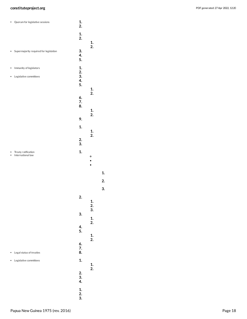<span id="page-17-3"></span><span id="page-17-2"></span><span id="page-17-0"></span>

| Quorum for legislative sessions          | 1.<br>2.                          |  |
|------------------------------------------|-----------------------------------|--|
|                                          | 1.<br>2.<br>1.                    |  |
| Supermajority required for legislation   | 2.<br>3.<br>4.<br>5.              |  |
| Immunity of legislators<br>٠             | 1.<br>2.                          |  |
| Legislative committees<br>٠              | 3.<br>4.<br>5.<br>$\frac{1}{2}$ . |  |
|                                          | 6.<br>7.<br>8.<br>1.              |  |
|                                          | 2.<br>9.                          |  |
|                                          | 1.<br>1.                          |  |
|                                          | 2.<br>$\frac{2}{3}$ .             |  |
| Treaty ratification<br>International law | 1.<br>۰<br>٠<br>$\bullet$         |  |
|                                          | 2.<br>$\frac{1}{2}$ .<br>3.       |  |
|                                          |                                   |  |
|                                          | 3.                                |  |
|                                          | 1.<br>2.<br>4.<br>5.              |  |
| Legal status of treaties                 | $\frac{1}{2}$ .<br>6.<br>7.<br>8. |  |
| Legislative committees                   | 1.<br>1.                          |  |
|                                          | 2.<br>2.3.4.                      |  |

<span id="page-17-1"></span>**1 . 2 . 3 .**

**3 .**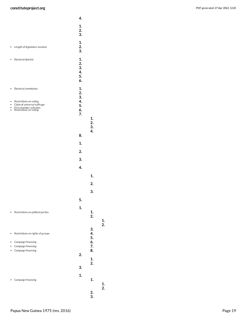<span id="page-18-3"></span><span id="page-18-2"></span><span id="page-18-1"></span><span id="page-18-0"></span>

|                                                                                                                                                             | 4.                                     |                |    |
|-------------------------------------------------------------------------------------------------------------------------------------------------------------|----------------------------------------|----------------|----|
|                                                                                                                                                             | 1.<br>2.<br>3.                         |                |    |
| Length of legislative sessions<br>٠                                                                                                                         | 1.<br>2.<br>3.                         |                |    |
| Electoral districts<br>٠                                                                                                                                    | 1.<br>2.<br>3.<br>4.<br>5.<br>6.       |                |    |
| Electoral commission<br>٠<br>Restrictions on voting<br>٠<br>Claim of universal suffrage<br>٠<br>First chamber selection<br>Restrictions on voting<br>٠<br>٠ | 1.<br>2.<br>3.<br>4.<br>5.<br>6.<br>7. | 1.<br>2.       |    |
|                                                                                                                                                             | 8.<br>1.                               | 3.<br>4.       |    |
|                                                                                                                                                             | 2.                                     |                |    |
|                                                                                                                                                             | 3.                                     |                |    |
|                                                                                                                                                             | 4.                                     |                |    |
|                                                                                                                                                             |                                        | 1.             |    |
|                                                                                                                                                             |                                        | 2.             |    |
|                                                                                                                                                             |                                        | 3.             |    |
|                                                                                                                                                             | 5.                                     |                |    |
|                                                                                                                                                             |                                        |                |    |
| Restrictions on political parties<br>۰                                                                                                                      | 1.                                     | 1.<br>2.       | 1. |
| Restrictions on rights of groups<br>$\bullet$                                                                                                               |                                        | 3.<br>4.<br>5. | 2. |
| Campaign financing<br>٠<br>Campaign financing                                                                                                               |                                        | 6.<br>7.       |    |
| Campaign financing<br>٠                                                                                                                                     | 2.                                     | 8.             |    |
|                                                                                                                                                             |                                        | 1.<br>2.       |    |
|                                                                                                                                                             | 3.                                     |                |    |
| Campaign financing                                                                                                                                          | 1.                                     | 1.             | 1. |
|                                                                                                                                                             |                                        | 2.<br>3.       | 2. |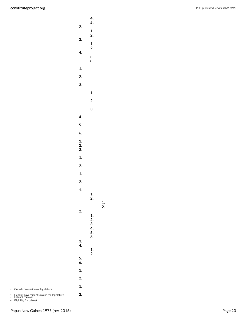|                       | 4.<br>5.                    |          |
|-----------------------|-----------------------------|----------|
| 2.                    |                             |          |
| 3.                    | 1.<br>2.                    |          |
|                       | $\frac{1}{2}$ .             |          |
| 4.                    | $\circ$<br>$\bullet$        |          |
| 1.                    |                             |          |
| 2.                    |                             |          |
| 3.                    |                             |          |
|                       | 1.                          |          |
|                       | 2.                          |          |
|                       | 3.                          |          |
| 4.                    |                             |          |
| 5.                    |                             |          |
| 6.                    |                             |          |
| $\frac{1}{2}$ .<br>3. |                             |          |
| 1.                    |                             |          |
| 2.                    |                             |          |
| 1.                    |                             |          |
| 2.                    |                             |          |
| $\mathbf{1}$ .        | 1.<br>2.                    |          |
| 2.                    | $\frac{1}{2}$ .<br>3.<br>4. | 1.<br>2. |
| 3.<br>4.              | 5.<br>6.<br>1.              |          |
| 5.<br>6.              | 2.                          |          |
| 1.                    |                             |          |
| 2.                    |                             |          |
| 1.                    |                             |          |
| 2.                    |                             |          |

<span id="page-19-0"></span>Outside professions of legislators

Head of government's role in the legislature Cabinet removal

Eligibility for cabinet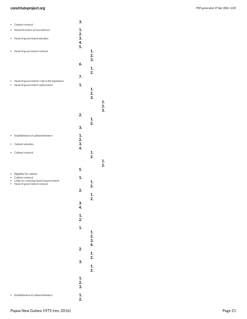|                  | Cabinet removal                                                                                                   | 3.                   |                      |          |
|------------------|-------------------------------------------------------------------------------------------------------------------|----------------------|----------------------|----------|
|                  | Name/structure of executive(s)                                                                                    | 1.                   |                      |          |
| ۰                | Head of government selection                                                                                      | 2.<br>3.<br>4.       |                      |          |
| ٠                | Head of government removal                                                                                        | 5.                   | 1.<br>2.<br>3.       |          |
|                  |                                                                                                                   | 6.                   | 1.<br>2.             |          |
|                  |                                                                                                                   | 7.                   |                      |          |
| $\bullet$        | Head of government's role in the legislature<br>Head of government replacement                                    | 1.                   | 1.<br>2.<br>3.       | 1.<br>2. |
|                  |                                                                                                                   | 2.                   | 1.<br>2.             | 3.       |
|                  |                                                                                                                   | 3.                   |                      |          |
|                  | Establishment of cabinet/ministers                                                                                | 1.<br>2.             |                      |          |
|                  | Cabinet selection                                                                                                 | 3.<br>4.             |                      |          |
|                  | Cabinet removal                                                                                                   |                      | 1.<br>2.             | 1.       |
|                  |                                                                                                                   | 5.                   |                      | 2.       |
| ٠<br>۰<br>٠<br>٠ | Eligibility for cabinet<br>Cabinet removal<br>Limits on removing head of government<br>Head of government removal | 1.<br>2.             | 1.<br>2.<br>1.       |          |
|                  |                                                                                                                   | 3.<br>4.             | 2.                   |          |
|                  |                                                                                                                   | $\mathbf{1}$ .<br>2. |                      |          |
|                  |                                                                                                                   | 1.                   | 1.<br>2.             |          |
|                  |                                                                                                                   | 2.<br>3.             | 3.<br>4.<br>1.<br>2. |          |
|                  |                                                                                                                   | 1.<br>2.             | 1.<br>2.             |          |
|                  |                                                                                                                   | 3.                   |                      |          |
|                  | Establishment of cabinet/ministers                                                                                | 1.<br>2.             |                      |          |

<span id="page-20-2"></span><span id="page-20-1"></span>

<span id="page-20-0"></span>

<span id="page-20-3"></span>

<span id="page-20-4"></span>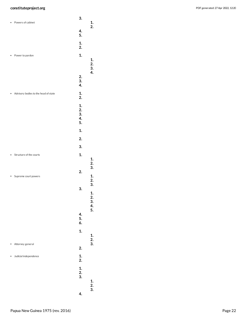<span id="page-21-4"></span><span id="page-21-3"></span><span id="page-21-2"></span><span id="page-21-1"></span><span id="page-21-0"></span>

| Powers of cabinet                    | 3.              | 1.                                      |
|--------------------------------------|-----------------|-----------------------------------------|
|                                      | 4.              | 2.                                      |
|                                      | 5.              |                                         |
|                                      | 1.<br>2.        |                                         |
| Power to pardon                      | 1.              | 1.                                      |
|                                      |                 | $\begin{array}{c} 2. \\ 3. \end{array}$ |
|                                      |                 | 4.                                      |
|                                      | 2.<br>3.        |                                         |
|                                      | 4.              |                                         |
| Advisory bodies to the head of state | 1.<br>2.        |                                         |
|                                      | 1.              |                                         |
|                                      | 2.<br>3.        |                                         |
|                                      | 4.<br>5.        |                                         |
|                                      | 1.              |                                         |
|                                      |                 |                                         |
|                                      | 2.              |                                         |
|                                      | 3.              |                                         |
| Structure of the courts              | 1.              | 1.                                      |
|                                      |                 | 2.<br>3.                                |
| Supreme court powers                 | 2.              | 1.                                      |
|                                      |                 | 2.<br>3.                                |
|                                      | 3.              |                                         |
|                                      |                 | 1.<br>2.                                |
|                                      |                 | 3.<br>4.                                |
|                                      | 4.              | 5.                                      |
|                                      | 5.<br>6.        |                                         |
|                                      | 1.              |                                         |
|                                      |                 | 1.<br>2.                                |
| Attorney general                     |                 | 3.                                      |
|                                      | 2.              |                                         |
| Judicial independence                | $\frac{1}{2}$ . |                                         |
|                                      | 1.              |                                         |
|                                      | 2.<br>3.        |                                         |
|                                      |                 | 1.<br>$\frac{2}{3}$ .                   |
|                                      | 4.              |                                         |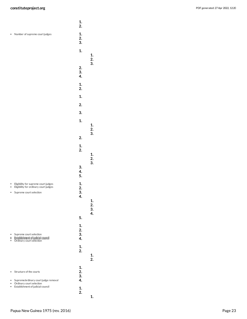|           |                                                                                                          | 2.                   |                |
|-----------|----------------------------------------------------------------------------------------------------------|----------------------|----------------|
| ٠         | Number of supreme court judges                                                                           | 1.<br>2.<br>3.       |                |
|           |                                                                                                          | 1.                   | 1.<br>2.       |
|           |                                                                                                          | 2.<br>3.<br>4.       | 3.             |
|           |                                                                                                          | 1.<br>2.             |                |
|           |                                                                                                          | 1.                   |                |
|           |                                                                                                          | 2.                   |                |
|           |                                                                                                          | 3.                   |                |
|           |                                                                                                          | 1.                   | 1.<br>2.<br>3. |
|           |                                                                                                          | 2.                   |                |
|           |                                                                                                          | 1.<br>2.             | 1.<br>2.       |
|           |                                                                                                          | 3.<br>4.<br>5.       | 3.             |
|           | Eligibility for supreme court judges<br>Eligibility for ordinary court judges<br>Supreme court selection | 1.<br>2.<br>3.<br>4. | 1.<br>2.<br>3. |
|           |                                                                                                          | 5.                   | 4.             |
|           |                                                                                                          | 1.                   |                |
| $\bullet$ | Supreme court selection<br>Establishment of judicial council<br>Ordinary court selection                 | 2.<br>3.<br>4.       |                |
|           |                                                                                                          | 1.<br>2.             | 1.<br>2.       |
|           | Structure of the courts<br>Supreme/ordinary court judge removal<br>Ordinary court selection              | 1.<br>2.<br>3.<br>4. |                |
|           | Establishment of judicial council                                                                        | 1.<br>2.             | 1.             |

<span id="page-22-3"></span><span id="page-22-2"></span><span id="page-22-1"></span><span id="page-22-0"></span>**1 .**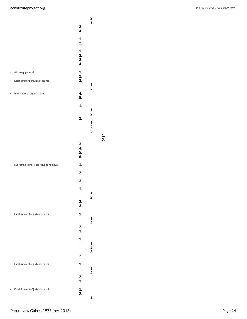<span id="page-23-1"></span><span id="page-23-0"></span>

|   |                                      |                      | $\frac{2}{3}$ .      |
|---|--------------------------------------|----------------------|----------------------|
|   |                                      | 3.<br>4.             |                      |
|   |                                      | 1.<br>2.             |                      |
|   |                                      | 1.<br>2.<br>3.<br>4. |                      |
| ٠ | Attorney general                     | 1.                   |                      |
| ٠ | Establishment of judicial council    | 2.<br>3.             | 1.                   |
|   | International organizations          | 4.<br>5.             | 2.                   |
|   |                                      | 1.                   | 1.                   |
|   |                                      | 2.                   | 2.<br>1.<br>2.<br>3. |
|   |                                      | 3.<br>4.<br>5.<br>6. |                      |
|   | Supreme/ordinary court judge removal | 1.                   |                      |
|   |                                      | 2.                   |                      |
|   |                                      | 3.                   |                      |
|   |                                      | 1.                   | 1.                   |
|   |                                      | 2.<br>3.             | 2.                   |
|   | Establishment of judicial council    | 1.                   | 1.<br>2.             |
|   |                                      | 2.<br>3.             |                      |
|   |                                      | 1.                   | 1.<br>2.             |
|   |                                      | 2.                   | 3.                   |
|   | Establishment of judicial council    | 1.                   |                      |
|   |                                      | 2.<br>3.             | $\frac{1}{2}$ .      |
|   | Establishment of judicial council    | 1.<br>2.             | 1.                   |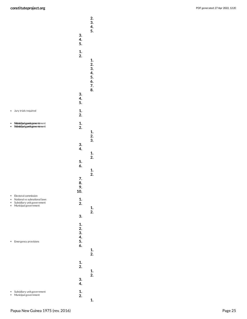<span id="page-24-3"></span><span id="page-24-2"></span><span id="page-24-1"></span><span id="page-24-0"></span>

|                             |                                                                                                            | 3.<br>4.              | 2.<br>3.<br>4.<br>5.             |
|-----------------------------|------------------------------------------------------------------------------------------------------------|-----------------------|----------------------------------|
|                             |                                                                                                            | 5.<br>1.<br>2.        | 1.<br>2.<br>3.<br>4.<br>5.<br>6. |
|                             |                                                                                                            | 3.<br>4.<br>5.        | 7.<br>8.                         |
| $\bullet$                   | Jury trials required                                                                                       | 1.<br>2.              |                                  |
|                             | <b>Munsicipalygoviegnment</b> ment<br>Subsidiarlygomit gowentment                                          | $\frac{1}{2}$ .       | 1.<br>2.                         |
|                             |                                                                                                            | 3.<br>4.              | 3.<br>1.                         |
|                             |                                                                                                            | 5.<br>6.              | 2.<br>1.<br>2.                   |
|                             |                                                                                                            | 7.<br>8.<br>9.<br>10. |                                  |
| $\bullet$<br>٠<br>$\bullet$ | Electoral commission<br>National vs subnational laws<br>Subsidiary unit government<br>Municipal government | 1.<br>2.              | 1.<br>2.                         |
|                             |                                                                                                            | 3.<br>1.<br>2.<br>3.  |                                  |
|                             | Emergency provisions                                                                                       | 4.<br>5.<br>6.        | 1.<br>2.                         |
|                             |                                                                                                            | 1.<br>2.<br>3.        | 1.<br>$\overline{2}$ .           |
|                             |                                                                                                            | 4.                    |                                  |
|                             | Subsidiary unit government<br>Municipal government                                                         | 1.<br>2.              | 1.                               |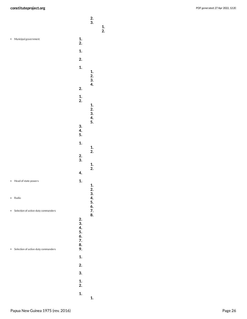<span id="page-25-2"></span><span id="page-25-1"></span><span id="page-25-0"></span>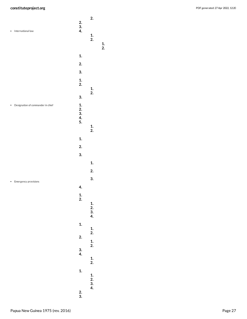<span id="page-26-1"></span><span id="page-26-0"></span>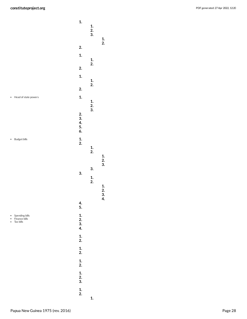<span id="page-27-2"></span><span id="page-27-1"></span><span id="page-27-0"></span>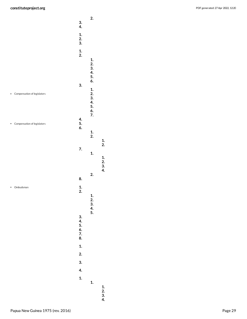<span id="page-28-1"></span><span id="page-28-0"></span>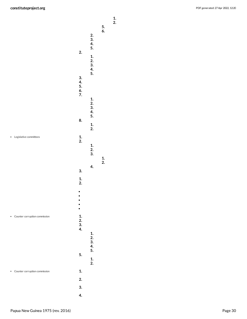<span id="page-29-1"></span><span id="page-29-0"></span>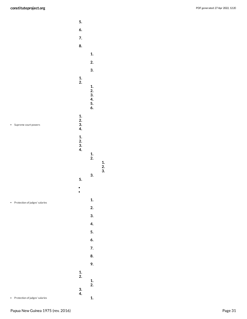

<span id="page-30-1"></span><span id="page-30-0"></span> **. . .**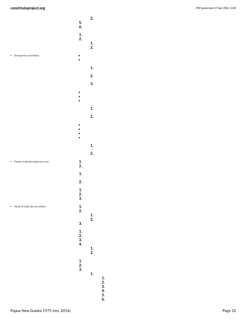<span id="page-31-2"></span><span id="page-31-1"></span><span id="page-31-0"></span>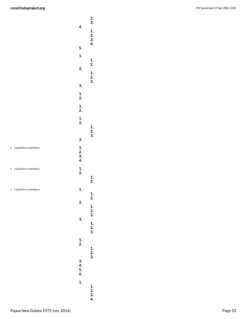<span id="page-32-1"></span><span id="page-32-0"></span>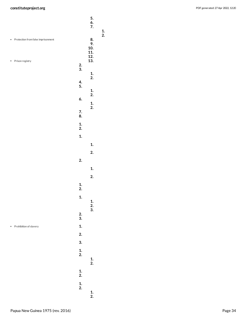PDF generated: 27 Apr 2022, 12:20

<span id="page-33-0"></span>

|           |                                    |                 | 5.<br>$rac{6}{7}$ .           |
|-----------|------------------------------------|-----------------|-------------------------------|
| $\bullet$ | Protection from false imprisonment |                 | 8.<br>9.<br>10.<br>11.<br>12. |
| ٠         | Prison registry                    | $\frac{2}{3}$ . | 13.                           |
|           |                                    |                 | $\frac{1}{2}$ .               |
|           |                                    | 4.<br>5.        |                               |
|           |                                    | 6.              | $\frac{1}{2}$ .<br>1.         |
|           |                                    | 7.<br>8.        | 2.                            |
|           |                                    | 1.<br>2.        |                               |
|           |                                    | 1.              |                               |
|           |                                    |                 | 1.                            |
|           |                                    |                 | 2.                            |
|           |                                    | 2.              |                               |
|           |                                    |                 | 1.                            |
|           |                                    |                 | 2.                            |
|           |                                    | $\frac{1}{2}$ . |                               |
|           |                                    | 1.              | $\frac{1}{2}$ .<br>3.         |
|           |                                    | $\frac{2}{3}$ . |                               |
|           | Prohibition of slavery             | 1.              |                               |
|           |                                    | 2.              |                               |
|           |                                    | 3.              |                               |
|           |                                    | 1.<br>2.        | $\frac{1}{2}$ .               |
|           |                                    | 1.<br>2.        |                               |
|           |                                    | $\frac{1}{2}$ . | $\frac{1}{2}$ .               |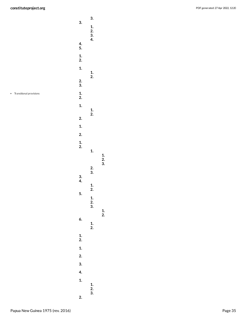<span id="page-34-0"></span>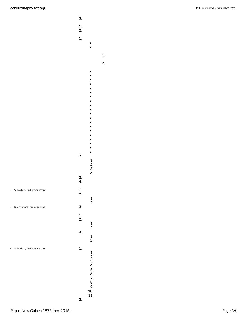**3.**

**1. 2.**

|                                          | 1.<br>2.<br>1.  | o<br>٠                                                    |
|------------------------------------------|-----------------|-----------------------------------------------------------|
|                                          |                 |                                                           |
|                                          |                 |                                                           |
|                                          | 2.              | $\frac{1}{2}$ .<br>3.                                     |
|                                          | $\frac{3}{4}$   | 4.                                                        |
| Subsidiary unit government<br>٠          | $\frac{1}{2}$ . | 1.                                                        |
| International organizations<br>$\bullet$ | 3.              | 2.                                                        |
|                                          | 1.<br>2.        | 1.                                                        |
|                                          | 3.              | 2.<br>1.<br>2.                                            |
| Subsidiary unit government               | 1.              | 1.<br>2.<br>3.<br>4.<br>5.<br>6.<br>7.<br>8.<br>9.<br>10. |
|                                          |                 | 11.                                                       |

<span id="page-35-0"></span>**2.**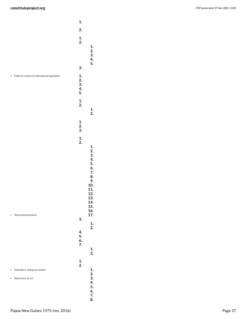<span id="page-36-2"></span><span id="page-36-1"></span><span id="page-36-0"></span>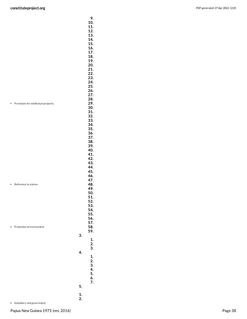<span id="page-37-0"></span>

| ٠ | Provisions for intellectual property<br>Reference to science |          | 9.<br>10.<br>11.<br>12.<br>13.<br>14.<br>15.<br>16.<br>17.<br>18.<br>19.<br>20.<br>21.<br>22.<br>23.<br>24.<br>25.<br>26.<br>27.<br>28.<br>29.<br>30.<br>31.<br>32.<br>33.<br>34.<br>35.<br>36.<br>37.<br>38.<br>39.<br>40.<br>41.<br>42.<br>43.<br>44.<br>45.<br>46.<br>47.<br>48.<br>49.<br>50.<br>51.<br>52.<br>53.<br>54.<br>55. |
|---|--------------------------------------------------------------|----------|--------------------------------------------------------------------------------------------------------------------------------------------------------------------------------------------------------------------------------------------------------------------------------------------------------------------------------------|
|   | Protection of environment                                    | 3.       | 56.<br>57.<br>58.<br>59.                                                                                                                                                                                                                                                                                                             |
|   |                                                              |          | 1.<br>2.<br>3.                                                                                                                                                                                                                                                                                                                       |
|   |                                                              | 4.       | 1.<br>2.<br>3.<br>4.                                                                                                                                                                                                                                                                                                                 |
|   |                                                              |          | 5.<br>6.<br>7.                                                                                                                                                                                                                                                                                                                       |
|   |                                                              | 5.<br>1. |                                                                                                                                                                                                                                                                                                                                      |
|   |                                                              | 2.       |                                                                                                                                                                                                                                                                                                                                      |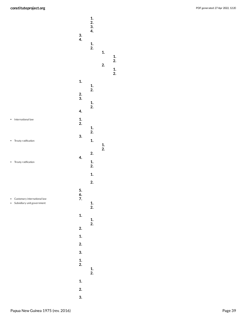<span id="page-38-0"></span>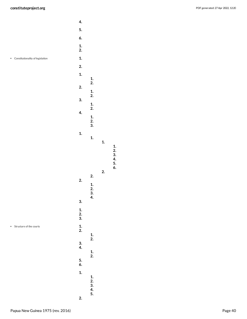- 
- Constitutionality of legislation

<span id="page-39-0"></span>

 **. . . . . .**

 **. .**

**.**

<span id="page-39-1"></span>Structure of the courts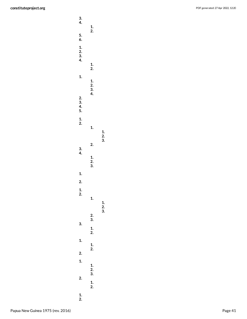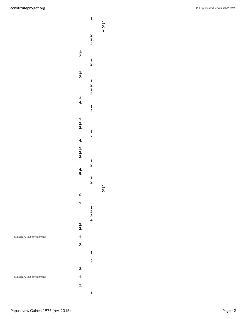<span id="page-41-0"></span>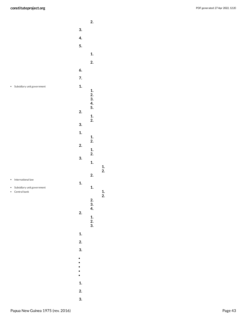PDF generated: 27 Apr 2022, 12:20

 **. . . . . . . . .** Subsidiary unit government **. . . . . . . . . . . . . . . . . .** • International law **.** Subsidiary unit government **.** Central bank **. . . . . . . . . .**  $\bullet$  $\bullet$  $\ddot{\cdot}$  $\bullet$  **. . .**

<span id="page-42-2"></span><span id="page-42-1"></span><span id="page-42-0"></span> **. .**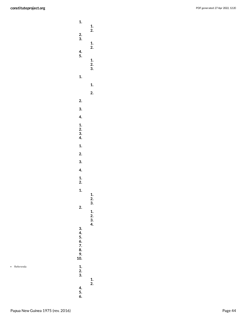| 1.<br>$\frac{2}{3}$ .<br>4.<br>5.             | 1.<br>2.<br>$\frac{1}{2}$ .                     |
|-----------------------------------------------|-------------------------------------------------|
| 1.                                            | $\frac{1}{2}$ .<br>3.<br>1.<br>$\overline{2}$ . |
| 2.<br>3.<br>$\overline{4}$                    |                                                 |
| 1.2.3.4.                                      |                                                 |
| $\mathbf{1}$ .<br>2.<br>3.                    |                                                 |
| 4.<br>1.<br>1.<br>1.                          |                                                 |
| 2.                                            | 1.<br>2.<br>3.                                  |
| 3.<br>4.<br>5.<br>6.<br>7.<br>8.<br>9.<br>10. | $\frac{1}{2}$ .<br>3.<br>4.                     |
| 1.<br>2.<br>.<br>3.<br>4.<br>5.<br>6.         | 1.<br>2.                                        |

<span id="page-43-0"></span>Referenda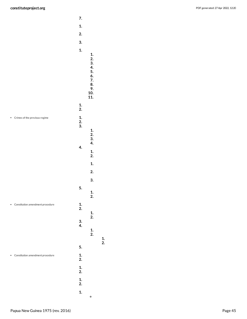<span id="page-44-1"></span><span id="page-44-0"></span>

|                                  | 7.                    |  |
|----------------------------------|-----------------------|--|
|                                  | 1.                    |  |
|                                  | 2.                    |  |
|                                  | 3.                    |  |
|                                  | 1.                    |  |
|                                  | 1.                    |  |
|                                  | $\frac{2}{3}$ .<br>4. |  |
|                                  | 5.                    |  |
|                                  | 6.<br>7.              |  |
|                                  | 8.<br>9.              |  |
|                                  | 10.                   |  |
|                                  | 11.                   |  |
|                                  | 1.<br>2.              |  |
| Crimes of the previous regime    | 1.                    |  |
|                                  | 2.<br>3.              |  |
|                                  | 1.                    |  |
|                                  | $\frac{2}{3}$         |  |
|                                  | 4.<br>4.              |  |
|                                  | 1.<br>2.              |  |
|                                  | 1.                    |  |
|                                  |                       |  |
|                                  | 2.                    |  |
|                                  | 3.                    |  |
|                                  | 5.<br>1.              |  |
|                                  | 2.                    |  |
| Constitution amendment procedure | 1.<br>2.              |  |
|                                  | $\frac{1}{2}$ .       |  |
|                                  | 3.                    |  |
|                                  | 4.<br>1.              |  |
|                                  | 2.                    |  |
|                                  | 5.                    |  |
|                                  |                       |  |
| Constitution amendment procedure | 1.<br>2.              |  |
|                                  | 1.                    |  |
|                                  | 2.                    |  |
|                                  | 1.<br>2.              |  |
|                                  | 1.                    |  |
|                                  | o                     |  |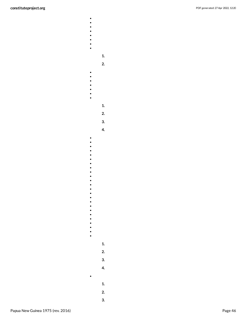- 
- 

 $\bullet$ 

 $-$ 

- 
- $\bullet$  . . . . . .
	- -
		- **1.**
		- **2.**
	-
	- -
	- **1.**
	- **2.**
		- **3. 4.**
	-
- $\ddot{\bullet}$   $\bullet$   $\bullet$
- $\bullet$  $\bullet$  $\bullet$
- $\bullet$
- -
- 
- 
- $\bullet$
- $\bullet$  $\bullet$
- $\bullet$ **1.**
	- **2.**
- **3.**
- **4.**
	- **1.**
	- **2.**
	- **3.**

 $\bullet$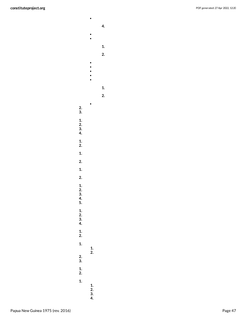$\bullet$  $\ddot{\bullet}$  $\begin{array}{c} \bullet \\ \bullet \\ \bullet \\ \bullet \end{array}$  $\bullet$  $\bullet$ **2. 3. 1. 2. 3. 4. 1. 2. 1. 2.**

**4.**

**1. 2.**

- **1. 2. 1. 2. 3. 4. 5. 1. 2. 3. 4. 1. 2. 1. 1. 2. 2.**
- **3. 1. 2. 1. 1. 2. 3. 4.**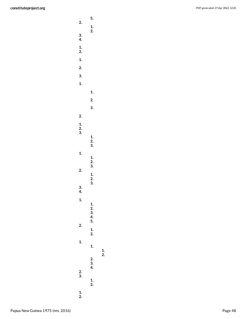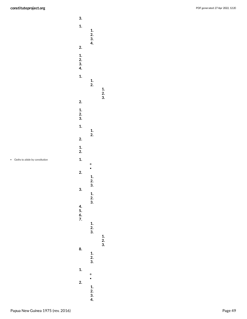

<span id="page-48-0"></span>Oaths to abide by constitution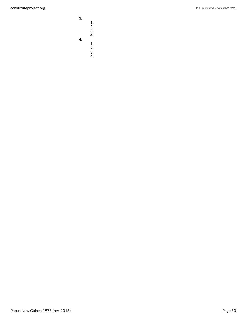**3. 1. 2. 3. 4.**

**4. 1. 2.**

> **3. 4.**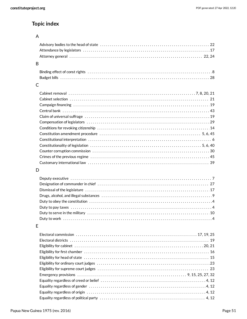# **Topic index**

# A

| B |  |
|---|--|
|   |  |
|   |  |
| С |  |
|   |  |
|   |  |
|   |  |
|   |  |
|   |  |
|   |  |
|   |  |
|   |  |
|   |  |
|   |  |
|   |  |
|   |  |
|   |  |
| D |  |
|   |  |
|   |  |
|   |  |
|   |  |
|   |  |
|   |  |
|   |  |
|   |  |
|   |  |
|   |  |
| E |  |
|   |  |
|   |  |
|   |  |
|   |  |
|   |  |
|   |  |
|   |  |
|   |  |
|   |  |
|   |  |
|   |  |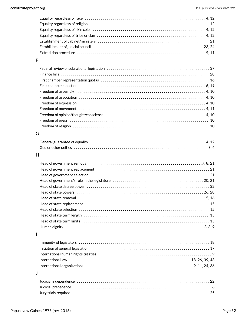### F

| Freedom of assembly $\dots\dots\dots\dots\dots\dots\dots\dots\dots\dots\dots\dots\dots\dots\dots\dots\dots\dots$ |  |
|------------------------------------------------------------------------------------------------------------------|--|
|                                                                                                                  |  |
|                                                                                                                  |  |
| Freedom of movement $\dots\dots\dots\dots\dots\dots\dots\dots\dots\dots\dots\dots\dots\dots\dots\dots\dots$      |  |
|                                                                                                                  |  |
|                                                                                                                  |  |
|                                                                                                                  |  |

# G

## H

# I

# J

| Judicial independence in its contract contract in the contract of the contract of the contract of the contract $22$                                                                                                            |  |
|--------------------------------------------------------------------------------------------------------------------------------------------------------------------------------------------------------------------------------|--|
| Judicial precedence in its intervention of the control of the control of the control of the control of the control of the control of the control of the control of the control of the control of the control of the control of |  |
|                                                                                                                                                                                                                                |  |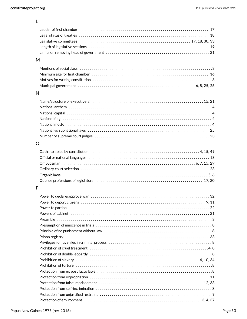L

| $\overline{1}$ |  |
|----------------|--|

### M

| Mentions of social class ……………………………………………………………………………………3 |  |
|------------------------------------------------------------|--|
|                                                            |  |
|                                                            |  |
|                                                            |  |

# N

# O

# P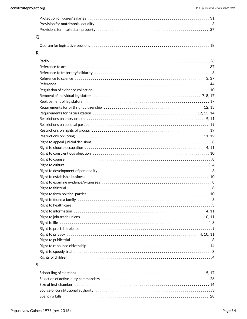| Q |                                                                                                              |  |
|---|--------------------------------------------------------------------------------------------------------------|--|
|   |                                                                                                              |  |
| R |                                                                                                              |  |
|   |                                                                                                              |  |
|   |                                                                                                              |  |
|   |                                                                                                              |  |
|   | Reference to science with the continuum of the control of the control of the control of the control of 3, 37 |  |
|   |                                                                                                              |  |
|   |                                                                                                              |  |
|   |                                                                                                              |  |
|   |                                                                                                              |  |
|   |                                                                                                              |  |
|   |                                                                                                              |  |
|   |                                                                                                              |  |
|   |                                                                                                              |  |
|   |                                                                                                              |  |
|   |                                                                                                              |  |
|   |                                                                                                              |  |
|   |                                                                                                              |  |
|   |                                                                                                              |  |
|   |                                                                                                              |  |
|   |                                                                                                              |  |
|   |                                                                                                              |  |
|   |                                                                                                              |  |
|   |                                                                                                              |  |
|   |                                                                                                              |  |
|   |                                                                                                              |  |
|   |                                                                                                              |  |
|   |                                                                                                              |  |
|   |                                                                                                              |  |
|   |                                                                                                              |  |
|   |                                                                                                              |  |
|   |                                                                                                              |  |
|   |                                                                                                              |  |
|   |                                                                                                              |  |
|   |                                                                                                              |  |
|   |                                                                                                              |  |
|   |                                                                                                              |  |
|   |                                                                                                              |  |

# $\sf S$